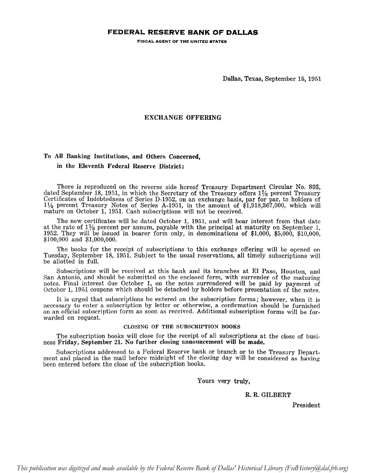## **FEDERAL RESERVE BANK OF DALLAS**

FISCAL AGENT OF THE UNITED STATES

Dallas, Texas, September 15,1951

## EXCHANGE OFFERING

## To All Banking Institutions, and Others Concerned,

#### in the Eleventh Federal Reserve District:

There is reproduced on the reverse side hereof Treasury Department Circular No. 893, dated September 18, 1951, in which the Secretary of the Treasury offers  $1\%$  percent Treasury Certificates of Indebtedness of Series D-1952, on an exchange basis, par for par, to holders of 11/4 percent Treasury Notes of Series A-1951, in the amount of \$1,918,367,000, which will mature on October 1, 1951. Cash subscriptions will not be received.

The new certificates will be dated October 1, 1951, and will bear interest from that date at the rate of  $1\frac{1}{8}$  percent per annum, payable with the principal at maturity on September 1, 1952. They will be issued in bearer form only, in denominations of  $$1,000$ ,  $$5,000$ ,  $$10,000$ , \$100,000 and \$1,000,000.

The books for the receipt of subscriptions to this exchange offering will be opened on Tuesday, September 18, 1951. Subject to the usual reservations, all timely subscriptions will be allotted in full.

Subscriptions will be received at this bank and its branches at El Paso, Houston, and San Antonio, and should be submitted on the enclosed form, with surrender of the maturing notes. Final interest due October 1, on the notes surrendered will be paid by payment of October 1, 1951 coupons which should be detached by holders before presentation of the notes.

It is urged that subscriptions be entered on the subscription forms; however, when it is necessary to enter a subscription by letter or otherwise, a confirmation should be furnished on an official subscription form as soon as received. Additional subscription forms will be forwarded on request.

#### CLOSING OF THE SUBSCRIPTION BOOKS

The subscription books will close for the receipt of all subscriptions at the close of business Friday, September 21. No further closing announcement will be made.

Subscriptions addressed to a Federal Reserve bank or branch or to the Treasury Department and placed in the mail before midnight of the closing day will be considered as having been entered before the close of the subscription books.

**Yours very truly,**

#### R. R. GILBERT

**President**